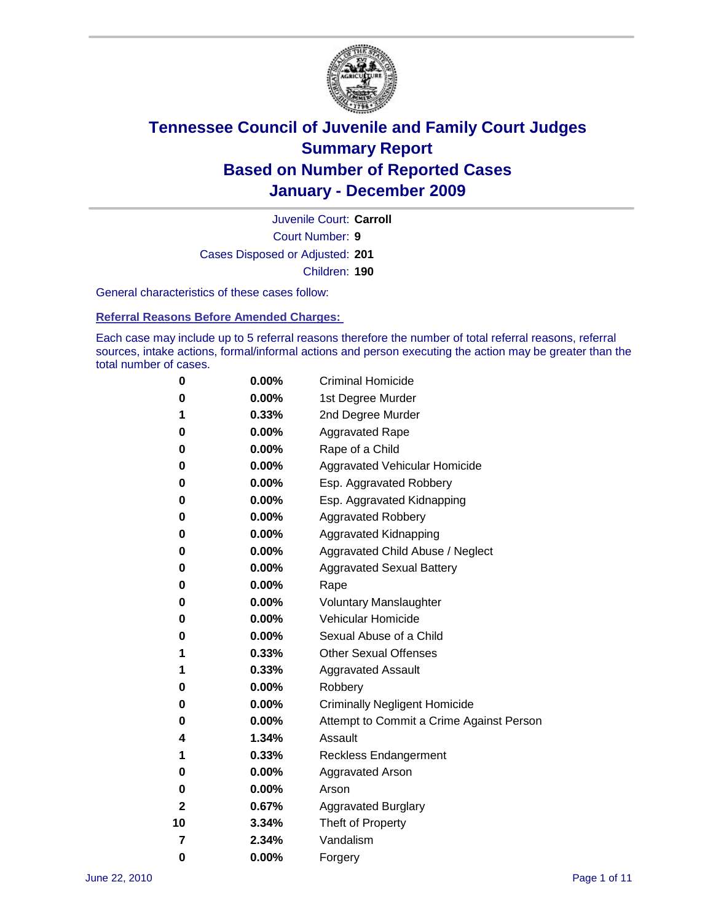

Court Number: **9** Juvenile Court: **Carroll** Cases Disposed or Adjusted: **201** Children: **190**

General characteristics of these cases follow:

**Referral Reasons Before Amended Charges:** 

Each case may include up to 5 referral reasons therefore the number of total referral reasons, referral sources, intake actions, formal/informal actions and person executing the action may be greater than the total number of cases.

| 0  | 0.00%    | <b>Criminal Homicide</b>                 |
|----|----------|------------------------------------------|
| 0  | 0.00%    | 1st Degree Murder                        |
| 1  | 0.33%    | 2nd Degree Murder                        |
| 0  | 0.00%    | <b>Aggravated Rape</b>                   |
| 0  | 0.00%    | Rape of a Child                          |
| 0  | 0.00%    | Aggravated Vehicular Homicide            |
| 0  | 0.00%    | Esp. Aggravated Robbery                  |
| 0  | 0.00%    | Esp. Aggravated Kidnapping               |
| 0  | 0.00%    | <b>Aggravated Robbery</b>                |
| 0  | 0.00%    | Aggravated Kidnapping                    |
| 0  | 0.00%    | Aggravated Child Abuse / Neglect         |
| 0  | $0.00\%$ | <b>Aggravated Sexual Battery</b>         |
| 0  | 0.00%    | Rape                                     |
| 0  | $0.00\%$ | <b>Voluntary Manslaughter</b>            |
| 0  | 0.00%    | Vehicular Homicide                       |
| 0  | 0.00%    | Sexual Abuse of a Child                  |
| 1  | 0.33%    | <b>Other Sexual Offenses</b>             |
| 1  | 0.33%    | <b>Aggravated Assault</b>                |
| 0  | $0.00\%$ | Robbery                                  |
| 0  | 0.00%    | <b>Criminally Negligent Homicide</b>     |
| 0  | 0.00%    | Attempt to Commit a Crime Against Person |
| 4  | 1.34%    | Assault                                  |
| 1  | 0.33%    | <b>Reckless Endangerment</b>             |
| 0  | 0.00%    | <b>Aggravated Arson</b>                  |
| 0  | 0.00%    | Arson                                    |
| 2  | 0.67%    | <b>Aggravated Burglary</b>               |
| 10 | 3.34%    | Theft of Property                        |
| 7  | 2.34%    | Vandalism                                |
| 0  | 0.00%    | Forgery                                  |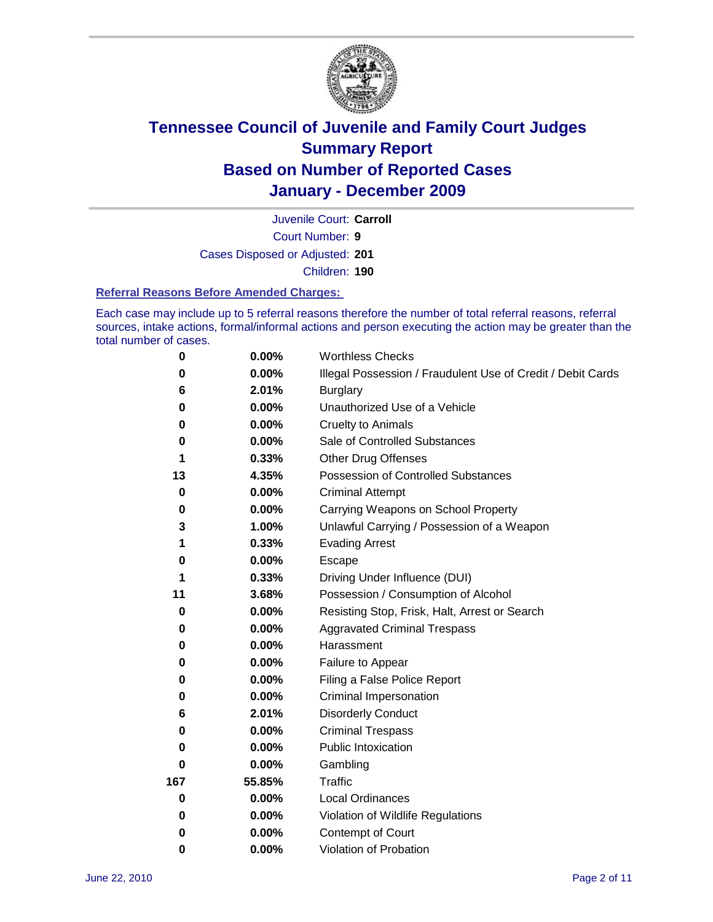

Court Number: **9** Juvenile Court: **Carroll** Cases Disposed or Adjusted: **201** Children: **190**

#### **Referral Reasons Before Amended Charges:**

Each case may include up to 5 referral reasons therefore the number of total referral reasons, referral sources, intake actions, formal/informal actions and person executing the action may be greater than the total number of cases.

| $\pmb{0}$   | 0.00%    | <b>Worthless Checks</b>                                     |
|-------------|----------|-------------------------------------------------------------|
| 0           | 0.00%    | Illegal Possession / Fraudulent Use of Credit / Debit Cards |
| 6           | 2.01%    | <b>Burglary</b>                                             |
| $\bf{0}$    | 0.00%    | Unauthorized Use of a Vehicle                               |
| 0           | $0.00\%$ | <b>Cruelty to Animals</b>                                   |
| 0           | 0.00%    | Sale of Controlled Substances                               |
| 1           | 0.33%    | <b>Other Drug Offenses</b>                                  |
| 13          | 4.35%    | Possession of Controlled Substances                         |
| $\mathbf 0$ | $0.00\%$ | <b>Criminal Attempt</b>                                     |
| 0           | 0.00%    | Carrying Weapons on School Property                         |
| 3           | 1.00%    | Unlawful Carrying / Possession of a Weapon                  |
| 1           | 0.33%    | <b>Evading Arrest</b>                                       |
| 0           | 0.00%    | Escape                                                      |
| 1           | 0.33%    | Driving Under Influence (DUI)                               |
| 11          | 3.68%    | Possession / Consumption of Alcohol                         |
| 0           | 0.00%    | Resisting Stop, Frisk, Halt, Arrest or Search               |
| 0           | $0.00\%$ | <b>Aggravated Criminal Trespass</b>                         |
| 0           | $0.00\%$ | Harassment                                                  |
| 0           | 0.00%    | Failure to Appear                                           |
| 0           | $0.00\%$ | Filing a False Police Report                                |
| 0           | 0.00%    | Criminal Impersonation                                      |
| 6           | 2.01%    | <b>Disorderly Conduct</b>                                   |
| 0           | $0.00\%$ | <b>Criminal Trespass</b>                                    |
| $\bf{0}$    | $0.00\%$ | Public Intoxication                                         |
| 0           | $0.00\%$ | Gambling                                                    |
| 167         | 55.85%   | <b>Traffic</b>                                              |
| 0           | $0.00\%$ | <b>Local Ordinances</b>                                     |
| 0           | 0.00%    | Violation of Wildlife Regulations                           |
| 0           | $0.00\%$ | Contempt of Court                                           |
| 0           | 0.00%    | Violation of Probation                                      |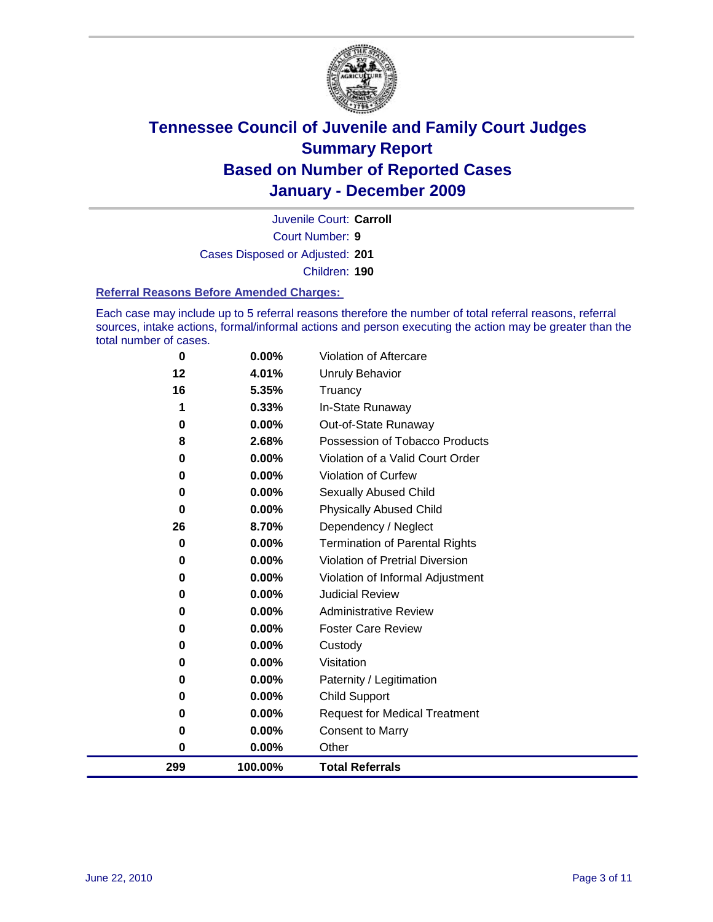

Court Number: **9** Juvenile Court: **Carroll** Cases Disposed or Adjusted: **201** Children: **190**

#### **Referral Reasons Before Amended Charges:**

Each case may include up to 5 referral reasons therefore the number of total referral reasons, referral sources, intake actions, formal/informal actions and person executing the action may be greater than the total number of cases.

| 299      | 100.00% | <b>Total Referrals</b>                 |
|----------|---------|----------------------------------------|
| 0        | 0.00%   | Other                                  |
| 0        | 0.00%   | <b>Consent to Marry</b>                |
| 0        | 0.00%   | <b>Request for Medical Treatment</b>   |
| 0        | 0.00%   | <b>Child Support</b>                   |
| 0        | 0.00%   | Paternity / Legitimation               |
| 0        | 0.00%   | Visitation                             |
| 0        | 0.00%   | Custody                                |
| 0        | 0.00%   | <b>Foster Care Review</b>              |
| 0        | 0.00%   | <b>Administrative Review</b>           |
| $\bf{0}$ | 0.00%   | <b>Judicial Review</b>                 |
| 0        | 0.00%   | Violation of Informal Adjustment       |
| 0        | 0.00%   | <b>Violation of Pretrial Diversion</b> |
| 0        | 0.00%   | <b>Termination of Parental Rights</b>  |
| 26       | 8.70%   | Dependency / Neglect                   |
| $\bf{0}$ | 0.00%   | <b>Physically Abused Child</b>         |
| 0        | 0.00%   | <b>Sexually Abused Child</b>           |
| 0        | 0.00%   | Violation of Curfew                    |
| $\bf{0}$ | 0.00%   | Violation of a Valid Court Order       |
| 8        | 2.68%   | Possession of Tobacco Products         |
| 0        | 0.00%   | Out-of-State Runaway                   |
|          | 0.33%   | In-State Runaway                       |
| 16       | 5.35%   | Truancy                                |
| 12       | 4.01%   | <b>Unruly Behavior</b>                 |
| 0        | 0.00%   | Violation of Aftercare                 |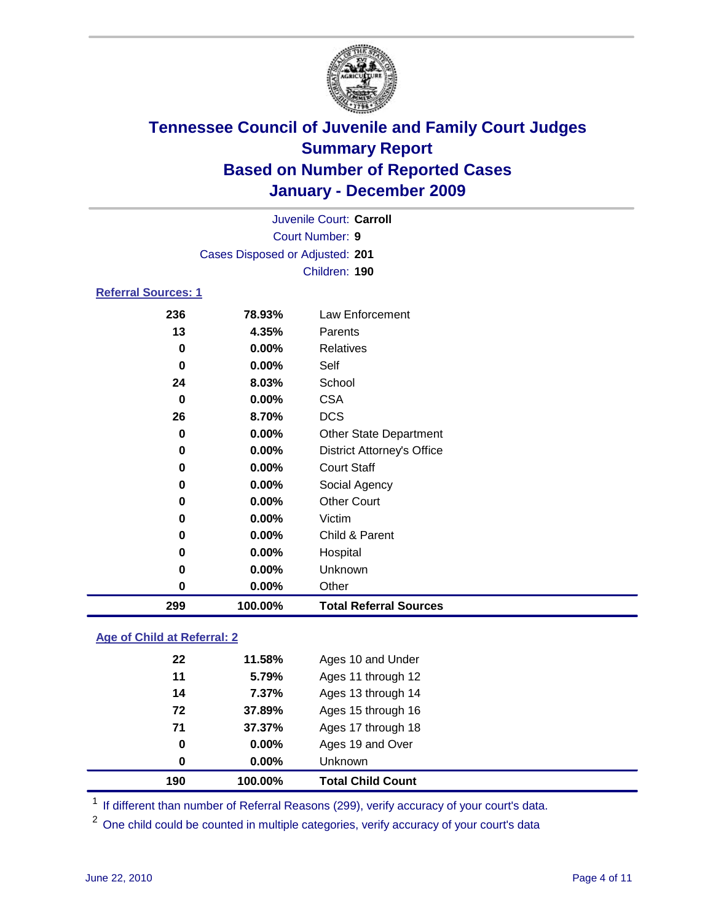

|                            |                                 | Juvenile Court: Carroll           |  |
|----------------------------|---------------------------------|-----------------------------------|--|
|                            |                                 | <b>Court Number: 9</b>            |  |
|                            | Cases Disposed or Adjusted: 201 |                                   |  |
|                            |                                 | Children: 190                     |  |
| <b>Referral Sources: 1</b> |                                 |                                   |  |
| 236                        | 78.93%                          | Law Enforcement                   |  |
| 13                         | 4.35%                           | Parents                           |  |
| 0                          | 0.00%                           | <b>Relatives</b>                  |  |
| 0                          | 0.00%                           | Self                              |  |
| 24                         | 8.03%                           | School                            |  |
| 0                          | 0.00%                           | <b>CSA</b>                        |  |
| 26                         | 8.70%                           | <b>DCS</b>                        |  |
| 0                          | 0.00%                           | <b>Other State Department</b>     |  |
| 0                          | $0.00\%$                        | <b>District Attorney's Office</b> |  |
| 0                          | 0.00%                           | <b>Court Staff</b>                |  |
| 0                          | 0.00%                           | Social Agency                     |  |
| 0                          | 0.00%                           | <b>Other Court</b>                |  |
| 0                          | 0.00%                           | Victim                            |  |
| 0                          | 0.00%                           | Child & Parent                    |  |
| 0                          | $0.00\%$                        | Hospital                          |  |
| 0                          | 0.00%                           | Unknown                           |  |
| 0                          | 0.00%                           | Other                             |  |

### **Age of Child at Referral: 2**

|    | 100.00%  | <b>Total Child Count</b> |
|----|----------|--------------------------|
| 0  | $0.00\%$ | Unknown                  |
| 0  | 0.00%    | Ages 19 and Over         |
| 71 | 37.37%   | Ages 17 through 18       |
| 72 | 37.89%   | Ages 15 through 16       |
| 14 | 7.37%    | Ages 13 through 14       |
| 11 | 5.79%    | Ages 11 through 12       |
| 22 | 11.58%   | Ages 10 and Under        |
|    | 190      |                          |

<sup>1</sup> If different than number of Referral Reasons (299), verify accuracy of your court's data.

**100.00% Total Referral Sources**

<sup>2</sup> One child could be counted in multiple categories, verify accuracy of your court's data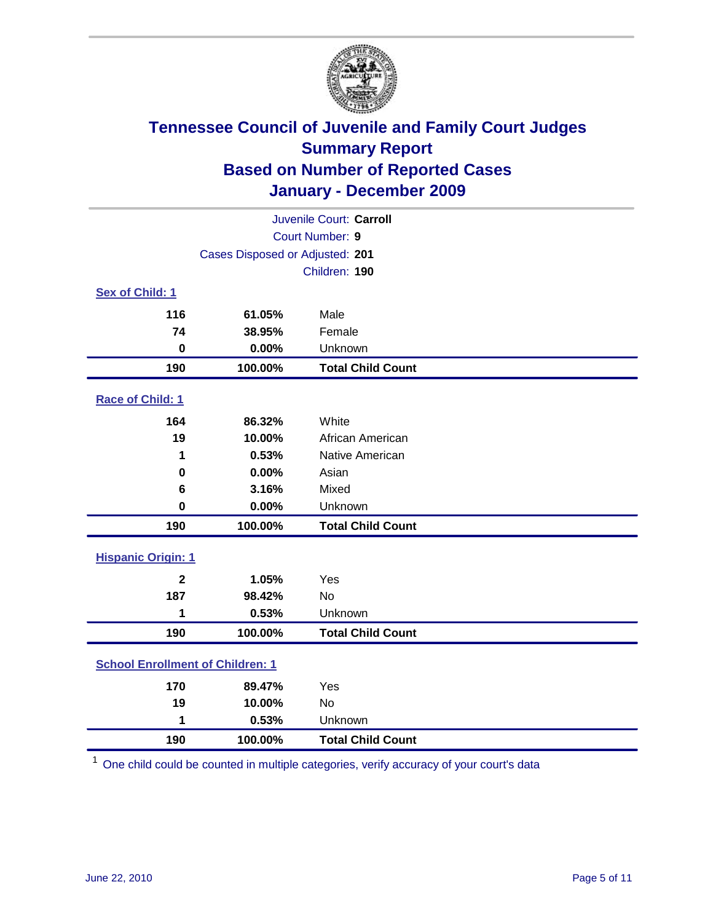

| Juvenile Court: Carroll                 |                                 |                          |  |  |  |
|-----------------------------------------|---------------------------------|--------------------------|--|--|--|
|                                         | <b>Court Number: 9</b>          |                          |  |  |  |
|                                         | Cases Disposed or Adjusted: 201 |                          |  |  |  |
|                                         |                                 | Children: 190            |  |  |  |
| Sex of Child: 1                         |                                 |                          |  |  |  |
| 116                                     | 61.05%                          | Male                     |  |  |  |
| 74                                      | 38.95%                          | Female                   |  |  |  |
| $\mathbf 0$                             | 0.00%                           | Unknown                  |  |  |  |
| 190                                     | 100.00%                         | <b>Total Child Count</b> |  |  |  |
| Race of Child: 1                        |                                 |                          |  |  |  |
| 164                                     | 86.32%                          | White                    |  |  |  |
| 19                                      | 10.00%                          | African American         |  |  |  |
| 1                                       | 0.53%                           | Native American          |  |  |  |
| $\mathbf 0$                             | 0.00%                           | Asian                    |  |  |  |
| 6                                       | 3.16%                           | Mixed                    |  |  |  |
| $\mathbf 0$                             | 0.00%                           | Unknown                  |  |  |  |
| 190                                     | 100.00%                         | <b>Total Child Count</b> |  |  |  |
| <b>Hispanic Origin: 1</b>               |                                 |                          |  |  |  |
| $\mathbf{2}$                            | 1.05%                           | Yes                      |  |  |  |
| 187                                     | 98.42%                          | No                       |  |  |  |
| 1                                       | 0.53%                           | Unknown                  |  |  |  |
| 190                                     | 100.00%                         | <b>Total Child Count</b> |  |  |  |
| <b>School Enrollment of Children: 1</b> |                                 |                          |  |  |  |
| 170                                     | 89.47%                          | Yes                      |  |  |  |
| 19                                      | 10.00%                          | No                       |  |  |  |
| 1                                       | 0.53%                           | Unknown                  |  |  |  |
| 190                                     | 100.00%                         | <b>Total Child Count</b> |  |  |  |

One child could be counted in multiple categories, verify accuracy of your court's data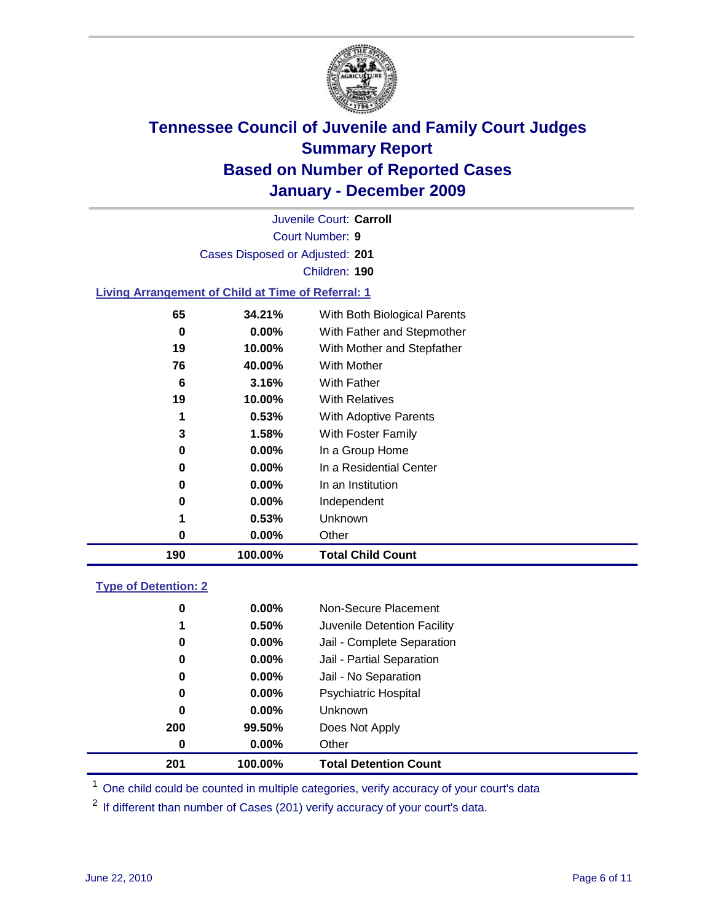

Court Number: **9** Juvenile Court: **Carroll** Cases Disposed or Adjusted: **201** Children: **190**

### **Living Arrangement of Child at Time of Referral: 1**

| 190 | 100.00%  | <b>Total Child Count</b>     |
|-----|----------|------------------------------|
| 0   | 0.00%    | Other                        |
| 1   | 0.53%    | Unknown                      |
| 0   | $0.00\%$ | Independent                  |
| 0   | 0.00%    | In an Institution            |
| 0   | $0.00\%$ | In a Residential Center      |
| 0   | 0.00%    | In a Group Home              |
| 3   | 1.58%    | With Foster Family           |
| 1   | 0.53%    | With Adoptive Parents        |
| 19  | 10.00%   | <b>With Relatives</b>        |
| 6   | 3.16%    | With Father                  |
| 76  | 40.00%   | With Mother                  |
| 19  | 10.00%   | With Mother and Stepfather   |
| 0   | $0.00\%$ | With Father and Stepmother   |
| 65  | 34.21%   | With Both Biological Parents |
|     |          |                              |

#### **Type of Detention: 2**

| 201      | 100.00%  | <b>Total Detention Count</b> |
|----------|----------|------------------------------|
| 0        | $0.00\%$ | Other                        |
| 200      | 99.50%   | Does Not Apply               |
| 0        | $0.00\%$ | Unknown                      |
| 0        | 0.00%    | <b>Psychiatric Hospital</b>  |
| $\bf{0}$ | 0.00%    | Jail - No Separation         |
| 0        | $0.00\%$ | Jail - Partial Separation    |
| 0        | $0.00\%$ | Jail - Complete Separation   |
| 1        | 0.50%    | Juvenile Detention Facility  |
| 0        | $0.00\%$ | Non-Secure Placement         |
|          |          |                              |

<sup>1</sup> One child could be counted in multiple categories, verify accuracy of your court's data

<sup>2</sup> If different than number of Cases (201) verify accuracy of your court's data.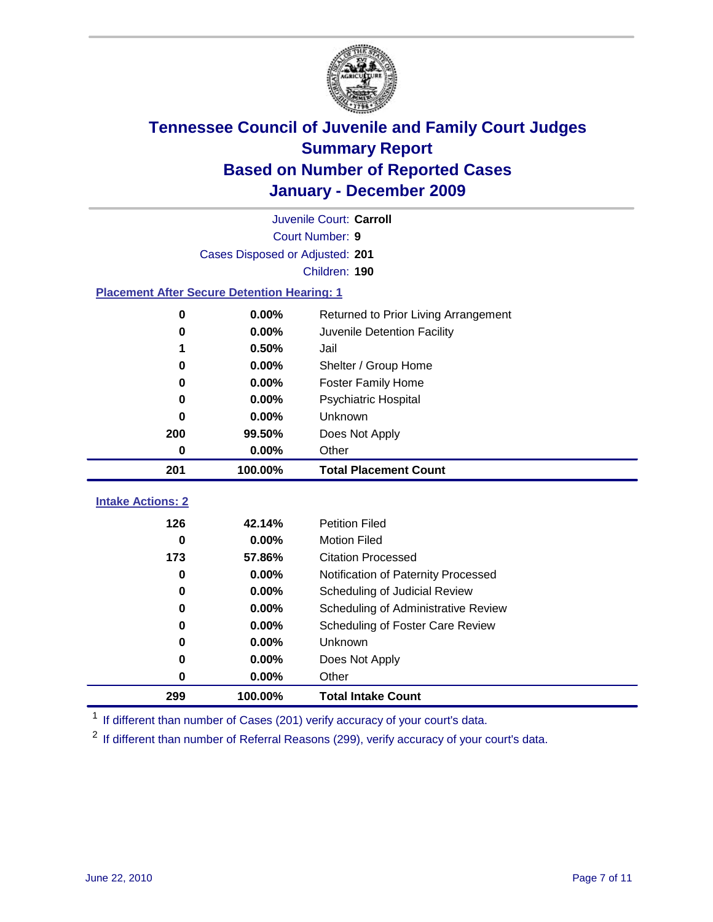

|                                                    | Juvenile Court: Carroll         |                                      |  |  |  |  |  |
|----------------------------------------------------|---------------------------------|--------------------------------------|--|--|--|--|--|
|                                                    | Court Number: 9                 |                                      |  |  |  |  |  |
|                                                    | Cases Disposed or Adjusted: 201 |                                      |  |  |  |  |  |
|                                                    | Children: 190                   |                                      |  |  |  |  |  |
| <b>Placement After Secure Detention Hearing: 1</b> |                                 |                                      |  |  |  |  |  |
| 0                                                  | 0.00%                           | Returned to Prior Living Arrangement |  |  |  |  |  |
| 0                                                  | 0.00%                           | Juvenile Detention Facility          |  |  |  |  |  |
| 1                                                  | 0.50%                           | Jail                                 |  |  |  |  |  |
| 0                                                  | 0.00%                           | Shelter / Group Home                 |  |  |  |  |  |
| 0                                                  | 0.00%                           | <b>Foster Family Home</b>            |  |  |  |  |  |
| 0                                                  | 0.00%                           | <b>Psychiatric Hospital</b>          |  |  |  |  |  |
| 0                                                  | 0.00%                           | Unknown                              |  |  |  |  |  |
| 200                                                | 99.50%                          | Does Not Apply                       |  |  |  |  |  |
| 0                                                  | 0.00%                           | Other                                |  |  |  |  |  |
| 201                                                | 100.00%                         | <b>Total Placement Count</b>         |  |  |  |  |  |
| <b>Intake Actions: 2</b>                           |                                 |                                      |  |  |  |  |  |
|                                                    |                                 |                                      |  |  |  |  |  |
| 126                                                | 42.14%                          | <b>Petition Filed</b>                |  |  |  |  |  |
| $\bf{0}$                                           | 0.00%                           | <b>Motion Filed</b>                  |  |  |  |  |  |
| 173                                                | 57.86%                          | <b>Citation Processed</b>            |  |  |  |  |  |
| 0                                                  | 0.00%                           | Notification of Paternity Processed  |  |  |  |  |  |
| 0                                                  | 0.00%                           | Scheduling of Judicial Review        |  |  |  |  |  |
| $\bf{0}$                                           | 0.00%                           | Scheduling of Administrative Review  |  |  |  |  |  |
| 0                                                  | 0.00%                           | Scheduling of Foster Care Review     |  |  |  |  |  |
| $\bf{0}$                                           | 0.00%                           | Unknown                              |  |  |  |  |  |
| 0                                                  | 0.00%                           | Does Not Apply                       |  |  |  |  |  |
| 0                                                  | 0.00%                           | Other                                |  |  |  |  |  |
| 299                                                | 100.00%                         | <b>Total Intake Count</b>            |  |  |  |  |  |

<sup>1</sup> If different than number of Cases (201) verify accuracy of your court's data.

<sup>2</sup> If different than number of Referral Reasons (299), verify accuracy of your court's data.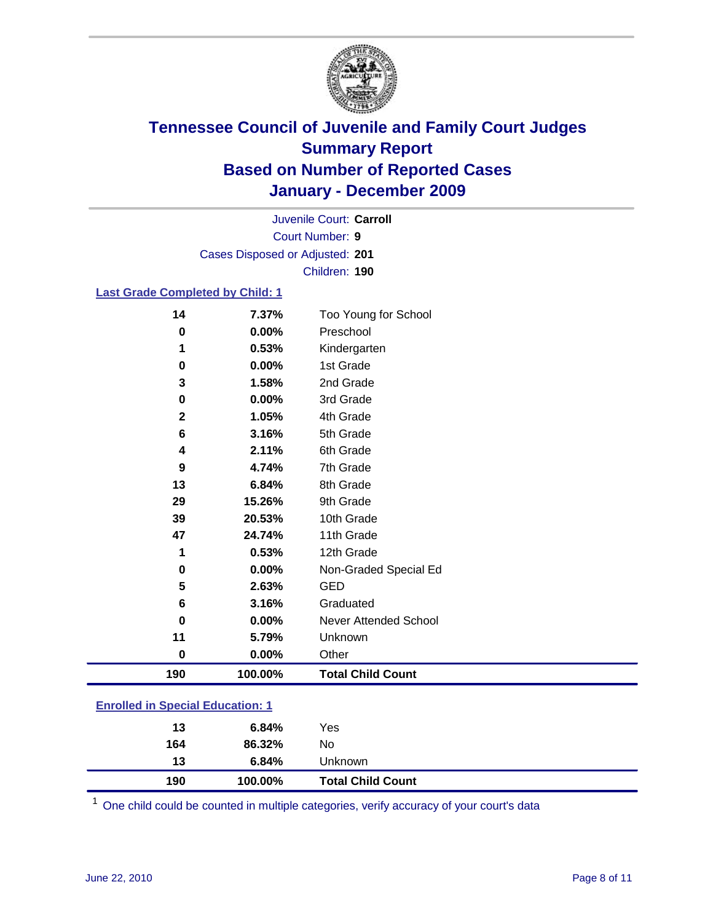

Court Number: **9** Juvenile Court: **Carroll** Cases Disposed or Adjusted: **201** Children: **190**

### **Last Grade Completed by Child: 1**

| 190            | 100.00%        | <b>Total Child Count</b>          |  |
|----------------|----------------|-----------------------------------|--|
| $\bf{0}$       | $0.00\%$       | Other                             |  |
| 11             | 5.79%          | Unknown                           |  |
| $\mathbf 0$    | 0.00%          | <b>Never Attended School</b>      |  |
| 6              | 3.16%          | Graduated                         |  |
| 5              | 2.63%          | <b>GED</b>                        |  |
| $\mathbf 0$    | 0.00%          | Non-Graded Special Ed             |  |
| 1              | 0.53%          | 12th Grade                        |  |
| 47             | 24.74%         | 11th Grade                        |  |
| 39             | 20.53%         | 10th Grade                        |  |
| 29             | 15.26%         | 9th Grade                         |  |
| 13             | 6.84%          | 8th Grade                         |  |
| 9              | 4.74%          | 7th Grade                         |  |
| 4              | 2.11%          | 6th Grade                         |  |
| 6              | 3.16%          | 5th Grade                         |  |
| $\mathbf{2}$   | 1.05%          | 4th Grade                         |  |
| 0              | 0.00%          | 3rd Grade                         |  |
| 3              | 1.58%          | 2nd Grade                         |  |
| $\mathbf 0$    | 0.00%          | 1st Grade                         |  |
| 1              | 0.53%          | Kindergarten                      |  |
| 14<br>$\bf{0}$ | 7.37%<br>0.00% | Too Young for School<br>Preschool |  |

### **Enrolled in Special Education: 1**

| 190 | 100.00% | <b>Total Child Count</b> |  |
|-----|---------|--------------------------|--|
| 13  | 6.84%   | Unknown                  |  |
| 164 | 86.32%  | No                       |  |
| 13  | 6.84%   | Yes                      |  |
|     |         |                          |  |

One child could be counted in multiple categories, verify accuracy of your court's data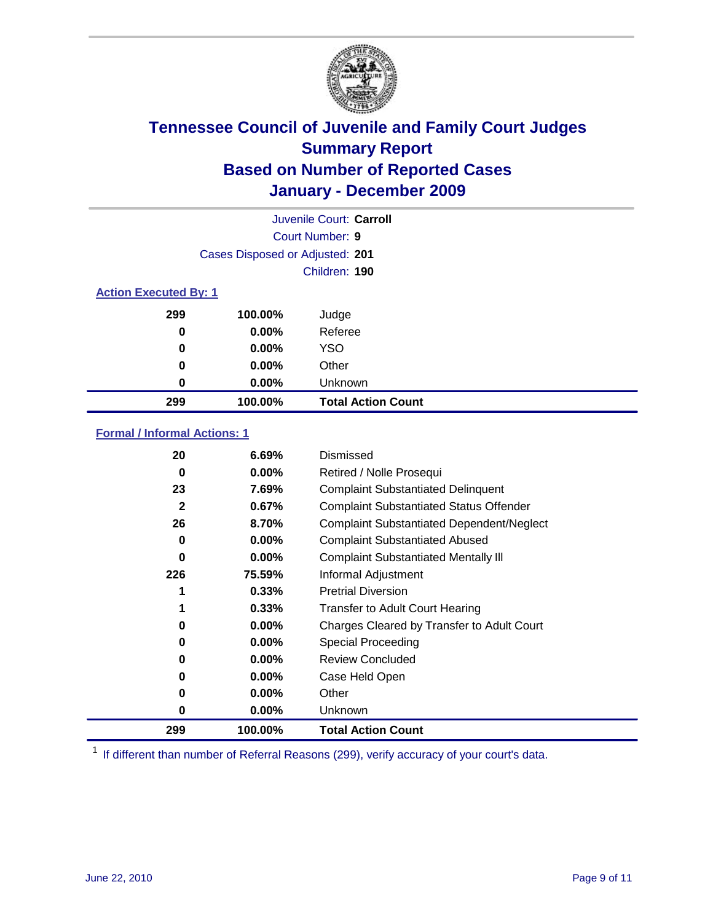

| Juvenile Court: Carroll      |                                 |                           |  |  |  |
|------------------------------|---------------------------------|---------------------------|--|--|--|
|                              | Court Number: 9                 |                           |  |  |  |
|                              | Cases Disposed or Adjusted: 201 |                           |  |  |  |
|                              |                                 | Children: 190             |  |  |  |
| <b>Action Executed By: 1</b> |                                 |                           |  |  |  |
| 299                          | 100.00%                         | Judge                     |  |  |  |
| 0                            | 0.00%                           | Referee                   |  |  |  |
| 0                            | $0.00\%$                        | <b>YSO</b>                |  |  |  |
| 0                            | 0.00%                           | Other                     |  |  |  |
| 0                            | 0.00%                           | Unknown                   |  |  |  |
| 299                          | 100.00%                         | <b>Total Action Count</b> |  |  |  |

### **Formal / Informal Actions: 1**

| 20           | 6.69%    | Dismissed                                        |
|--------------|----------|--------------------------------------------------|
| 0            | $0.00\%$ | Retired / Nolle Prosequi                         |
| 23           | 7.69%    | <b>Complaint Substantiated Delinquent</b>        |
| $\mathbf{2}$ | 0.67%    | <b>Complaint Substantiated Status Offender</b>   |
| 26           | 8.70%    | <b>Complaint Substantiated Dependent/Neglect</b> |
| 0            | $0.00\%$ | <b>Complaint Substantiated Abused</b>            |
| 0            | $0.00\%$ | <b>Complaint Substantiated Mentally III</b>      |
| 226          | 75.59%   | Informal Adjustment                              |
|              | 0.33%    | <b>Pretrial Diversion</b>                        |
| 1            | 0.33%    | <b>Transfer to Adult Court Hearing</b>           |
| 0            | $0.00\%$ | Charges Cleared by Transfer to Adult Court       |
| 0            | $0.00\%$ | Special Proceeding                               |
| 0            | $0.00\%$ | <b>Review Concluded</b>                          |
| 0            | $0.00\%$ | Case Held Open                                   |
| 0            | $0.00\%$ | Other                                            |
| 0            | $0.00\%$ | <b>Unknown</b>                                   |
| 299          | 100.00%  | <b>Total Action Count</b>                        |

<sup>1</sup> If different than number of Referral Reasons (299), verify accuracy of your court's data.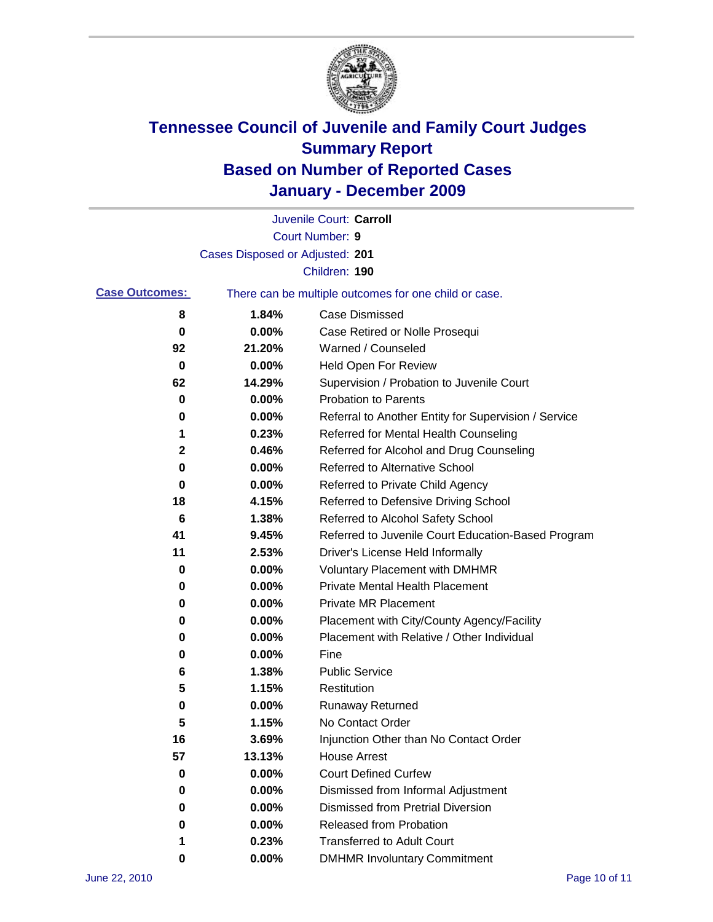

|                       |                                 | Juvenile Court: Carroll                               |
|-----------------------|---------------------------------|-------------------------------------------------------|
|                       |                                 | <b>Court Number: 9</b>                                |
|                       | Cases Disposed or Adjusted: 201 |                                                       |
|                       |                                 | Children: 190                                         |
| <b>Case Outcomes:</b> |                                 | There can be multiple outcomes for one child or case. |
| 8                     | 1.84%                           | <b>Case Dismissed</b>                                 |
| 0                     | 0.00%                           | Case Retired or Nolle Prosequi                        |
| 92                    | 21.20%                          | Warned / Counseled                                    |
| 0                     | 0.00%                           | <b>Held Open For Review</b>                           |
| 62                    | 14.29%                          | Supervision / Probation to Juvenile Court             |
| 0                     | 0.00%                           | <b>Probation to Parents</b>                           |
| 0                     | 0.00%                           | Referral to Another Entity for Supervision / Service  |
| 1                     | 0.23%                           | Referred for Mental Health Counseling                 |
| $\mathbf 2$           | 0.46%                           | Referred for Alcohol and Drug Counseling              |
| 0                     | 0.00%                           | <b>Referred to Alternative School</b>                 |
| 0                     | 0.00%                           | Referred to Private Child Agency                      |
| 18                    | 4.15%                           | Referred to Defensive Driving School                  |
| 6                     | 1.38%                           | Referred to Alcohol Safety School                     |
| 41                    | 9.45%                           | Referred to Juvenile Court Education-Based Program    |
| 11                    | 2.53%                           | Driver's License Held Informally                      |
| 0                     | 0.00%                           | <b>Voluntary Placement with DMHMR</b>                 |
| 0                     | 0.00%                           | <b>Private Mental Health Placement</b>                |
| 0                     | 0.00%                           | <b>Private MR Placement</b>                           |
| 0                     | 0.00%                           | Placement with City/County Agency/Facility            |
| 0                     | 0.00%                           | Placement with Relative / Other Individual            |
| 0                     | 0.00%                           | Fine                                                  |
| 6                     | 1.38%                           | <b>Public Service</b>                                 |
| 5                     | 1.15%                           | Restitution                                           |
| 0                     | 0.00%                           | <b>Runaway Returned</b>                               |
| 5                     | 1.15%                           | No Contact Order                                      |
| 16                    | 3.69%                           | Injunction Other than No Contact Order                |
| 57                    | 13.13%                          | <b>House Arrest</b>                                   |
| 0                     | 0.00%                           | <b>Court Defined Curfew</b>                           |
| 0                     | 0.00%                           | Dismissed from Informal Adjustment                    |
| 0                     | 0.00%                           | <b>Dismissed from Pretrial Diversion</b>              |
| 0                     | 0.00%                           | Released from Probation                               |
| 1                     | 0.23%                           | <b>Transferred to Adult Court</b>                     |
| 0                     | $0.00\%$                        | <b>DMHMR Involuntary Commitment</b>                   |